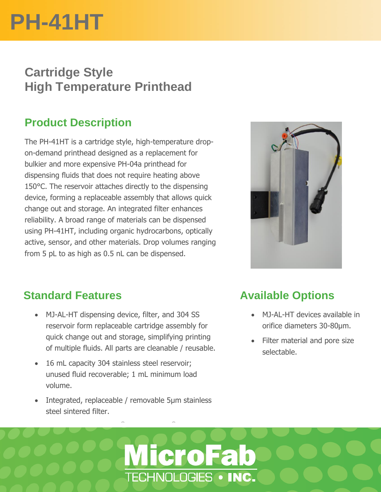# **PH-41HT**

### **Cartridge Style High Temperature Printhead**

#### **Product Description**

The PH-41HT is a cartridge style, high-temperature dropon-demand printhead designed as a replacement for bulkier and more expensive PH-04a printhead for dispensing fluids that does not require heating above 150°C. The reservoir attaches directly to the dispensing device, forming a replaceable assembly that allows quick change out and storage. An integrated filter enhances reliability. A broad range of materials can be dispensed using PH-41HT, including organic hydrocarbons, optically active, sensor, and other materials. Drop volumes ranging from 5 pL to as high as 0.5 nL can be dispensed.



#### **Standard Features**

- MJ-AL-HT dispensing device, filter, and 304 SS reservoir form replaceable cartridge assembly for quick change out and storage, simplifying printing of multiple fluids. All parts are cleanable / reusable.
- 16 mL capacity 304 stainless steel reservoir; unused fluid recoverable; 1 mL minimum load volume.
- Integrated, replaceable / removable 5µm stainless steel sintered filter.

#### **Available Options**

- MJ-AL-HT devices available in orifice diameters 30-80µm.
- Filter material and pore size selectable.